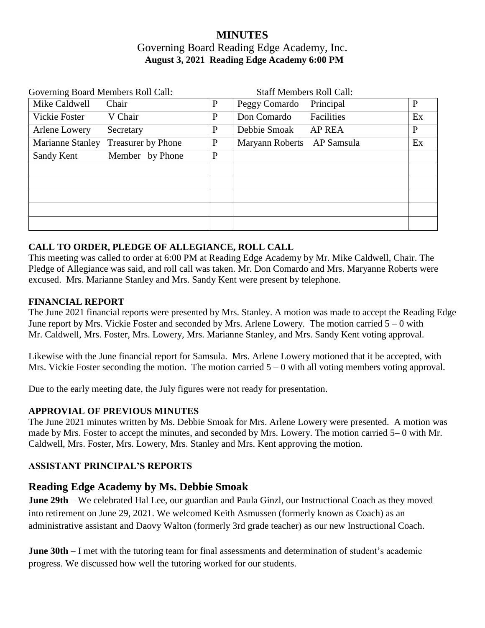# **MINUTES** Governing Board Reading Edge Academy, Inc. **August 3, 2021 Reading Edge Academy 6:00 PM**

| Governing Board Members Roll Call:            |              | <b>Staff Members Roll Call:</b> |    |
|-----------------------------------------------|--------------|---------------------------------|----|
| Mike Caldwell<br>Chair                        | P            | Peggy Comardo<br>Principal      | P  |
| Vickie Foster<br>V Chair                      | P            | Facilities<br>Don Comardo       | Ex |
| Arlene Lowery<br>Secretary                    | P            | Debbie Smoak<br><b>AP REA</b>   | P  |
| Marianne Stanley<br><b>Treasurer by Phone</b> | $\mathbf{P}$ | Maryann Roberts AP Samsula      | Ex |
| Sandy Kent<br>Member by Phone                 | P            |                                 |    |
|                                               |              |                                 |    |
|                                               |              |                                 |    |
|                                               |              |                                 |    |
|                                               |              |                                 |    |
|                                               |              |                                 |    |

### **CALL TO ORDER, PLEDGE OF ALLEGIANCE, ROLL CALL**

This meeting was called to order at 6:00 PM at Reading Edge Academy by Mr. Mike Caldwell, Chair. The Pledge of Allegiance was said, and roll call was taken. Mr. Don Comardo and Mrs. Maryanne Roberts were excused. Mrs. Marianne Stanley and Mrs. Sandy Kent were present by telephone.

### **FINANCIAL REPORT**

The June 2021 financial reports were presented by Mrs. Stanley. A motion was made to accept the Reading Edge June report by Mrs. Vickie Foster and seconded by Mrs. Arlene Lowery. The motion carried  $5 - 0$  with Mr. Caldwell, Mrs. Foster, Mrs. Lowery, Mrs. Marianne Stanley, and Mrs. Sandy Kent voting approval.

Likewise with the June financial report for Samsula. Mrs. Arlene Lowery motioned that it be accepted, with Mrs. Vickie Foster seconding the motion. The motion carried  $5 - 0$  with all voting members voting approval.

Due to the early meeting date, the July figures were not ready for presentation.

#### **APPROVIAL OF PREVIOUS MINUTES**

The June 2021 minutes written by Ms. Debbie Smoak for Mrs. Arlene Lowery were presented. A motion was made by Mrs. Foster to accept the minutes, and seconded by Mrs. Lowery. The motion carried 5– 0 with Mr. Caldwell, Mrs. Foster, Mrs. Lowery, Mrs. Stanley and Mrs. Kent approving the motion.

### **ASSISTANT PRINCIPAL'S REPORTS**

# **Reading Edge Academy by Ms. Debbie Smoak**

**June 29th** – We celebrated Hal Lee, our guardian and Paula Ginzl, our Instructional Coach as they moved into retirement on June 29, 2021. We welcomed Keith Asmussen (formerly known as Coach) as an administrative assistant and Daovy Walton (formerly 3rd grade teacher) as our new Instructional Coach.

**June 30th** – I met with the tutoring team for final assessments and determination of student's academic progress. We discussed how well the tutoring worked for our students.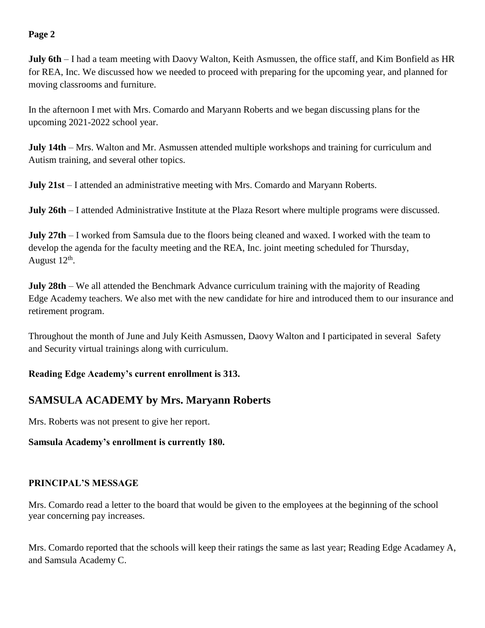## **Page 2**

**July 6th** – I had a team meeting with Daovy Walton, Keith Asmussen, the office staff, and Kim Bonfield as HR for REA, Inc. We discussed how we needed to proceed with preparing for the upcoming year, and planned for moving classrooms and furniture.

In the afternoon I met with Mrs. Comardo and Maryann Roberts and we began discussing plans for the upcoming 2021-2022 school year.

**July 14th** – Mrs. Walton and Mr. Asmussen attended multiple workshops and training for curriculum and Autism training, and several other topics.

**July 21st** – I attended an administrative meeting with Mrs. Comardo and Maryann Roberts.

**July 26th** – I attended Administrative Institute at the Plaza Resort where multiple programs were discussed.

**July 27th** – I worked from Samsula due to the floors being cleaned and waxed. I worked with the team to develop the agenda for the faculty meeting and the REA, Inc. joint meeting scheduled for Thursday, August  $12^{\text{th}}$ .

**July 28th** – We all attended the Benchmark Advance curriculum training with the majority of Reading Edge Academy teachers. We also met with the new candidate for hire and introduced them to our insurance and retirement program.

Throughout the month of June and July Keith Asmussen, Daovy Walton and I participated in several Safety and Security virtual trainings along with curriculum.

# **Reading Edge Academy's current enrollment is 313.**

# **SAMSULA ACADEMY by Mrs. Maryann Roberts**

Mrs. Roberts was not present to give her report.

### **Samsula Academy's enrollment is currently 180.**

### **PRINCIPAL'S MESSAGE**

Mrs. Comardo read a letter to the board that would be given to the employees at the beginning of the school year concerning pay increases.

Mrs. Comardo reported that the schools will keep their ratings the same as last year; Reading Edge Acadamey A, and Samsula Academy C.